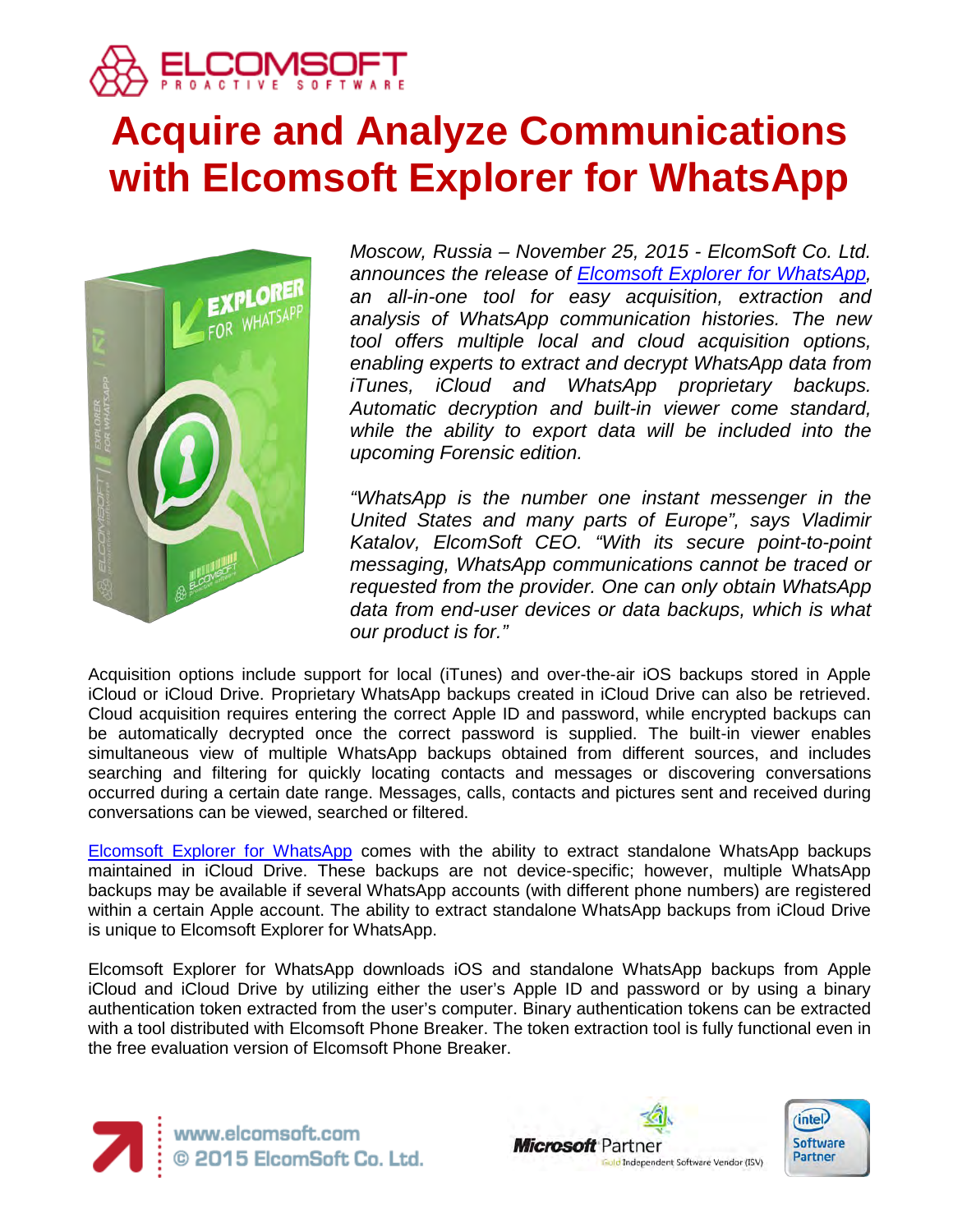

# **Acquire and Analyze Communications with Elcomsoft Explorer for WhatsApp**



*Moscow, Russia – November 25, 2015 - ElcomSoft Co. Ltd. announces the release of [Elcomsoft Explorer for WhatsApp,](https://www.elcomsoft.com/exwa.html) an all-in-one tool for easy acquisition, extraction and analysis of WhatsApp communication histories. The new tool offers multiple local and cloud acquisition options, enabling experts to extract and decrypt WhatsApp data from iTunes, iCloud and WhatsApp proprietary backups. Automatic decryption and built-in viewer come standard, while the ability to export data will be included into the upcoming Forensic edition.*

*"WhatsApp is the number one instant messenger in the United States and many parts of Europe", says Vladimir Katalov, ElcomSoft CEO. "With its secure point-to-point messaging, WhatsApp communications cannot be traced or requested from the provider. One can only obtain WhatsApp data from end-user devices or data backups, which is what our product is for."*

Acquisition options include support for local (iTunes) and over-the-air iOS backups stored in Apple iCloud or iCloud Drive. Proprietary WhatsApp backups created in iCloud Drive can also be retrieved. Cloud acquisition requires entering the correct Apple ID and password, while encrypted backups can be automatically decrypted once the correct password is supplied. The built-in viewer enables simultaneous view of multiple WhatsApp backups obtained from different sources, and includes searching and filtering for quickly locating contacts and messages or discovering conversations occurred during a certain date range. Messages, calls, contacts and pictures sent and received during conversations can be viewed, searched or filtered.

[Elcomsoft Explorer for WhatsApp](https://www.elcomsoft.com/exwa.html) comes with the ability to extract standalone WhatsApp backups maintained in iCloud Drive. These backups are not device-specific; however, multiple WhatsApp backups may be available if several WhatsApp accounts (with different phone numbers) are registered within a certain Apple account. The ability to extract standalone WhatsApp backups from iCloud Drive is unique to Elcomsoft Explorer for WhatsApp.

Elcomsoft Explorer for WhatsApp downloads iOS and standalone WhatsApp backups from Apple iCloud and iCloud Drive by utilizing either the user's Apple ID and password or by using a binary authentication token extracted from the user's computer. Binary authentication tokens can be extracted with a tool distributed with Elcomsoft Phone Breaker. The token extraction tool is fully functional even in the free evaluation version of Elcomsoft Phone Breaker.



www.elcomsoft.com<br>© 2015 ElcomSoft Co. Ltd.